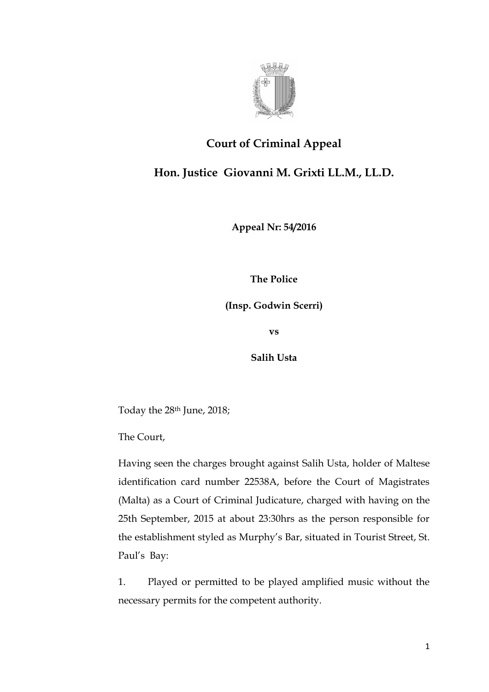

## **Court of Criminal Appeal**

**Hon. Justice Giovanni M. Grixti LL.M., LL.D.**

**Appeal Nr: 54/2016**

**The Police**

**(Insp. Godwin Scerri)**

**vs**

**Salih Usta**

Today the 28th June, 2018;

The Court,

Having seen the charges brought against Salih Usta, holder of Maltese identification card number 22538A, before the Court of Magistrates (Malta) as a Court of Criminal Judicature, charged with having on the 25th September, 2015 at about 23:30hrs as the person responsible for the establishment styled as Murphy's Bar, situated in Tourist Street, St. Paul's Bay:

1. Played or permitted to be played amplified music without the necessary permits for the competent authority.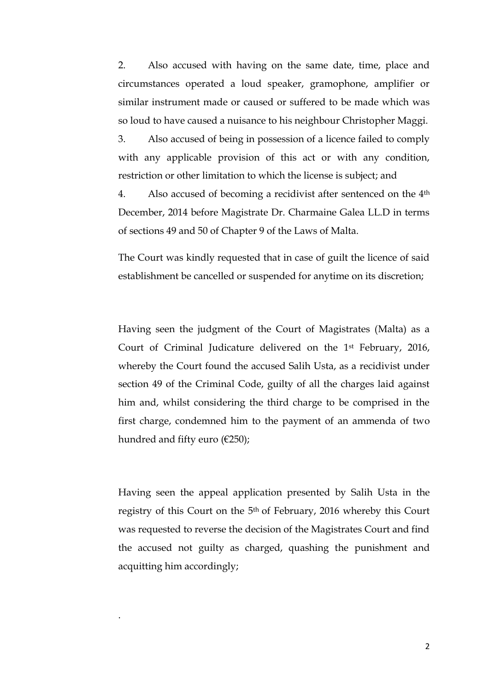2. Also accused with having on the same date, time, place and circumstances operated a loud speaker, gramophone, amplifier or similar instrument made or caused or suffered to be made which was so loud to have caused a nuisance to his neighbour Christopher Maggi.

3. Also accused of being in possession of a licence failed to comply with any applicable provision of this act or with any condition, restriction or other limitation to which the license is subject; and

4. Also accused of becoming a recidivist after sentenced on the 4th December, 2014 before Magistrate Dr. Charmaine Galea LL.D in terms of sections 49 and 50 of Chapter 9 of the Laws of Malta.

The Court was kindly requested that in case of guilt the licence of said establishment be cancelled or suspended for anytime on its discretion;

Having seen the judgment of the Court of Magistrates (Malta) as a Court of Criminal Judicature delivered on the 1st February, 2016, whereby the Court found the accused Salih Usta, as a recidivist under section 49 of the Criminal Code, guilty of all the charges laid against him and, whilst considering the third charge to be comprised in the first charge, condemned him to the payment of an ammenda of two hundred and fifty euro (€250);

Having seen the appeal application presented by Salih Usta in the registry of this Court on the 5th of February, 2016 whereby this Court was requested to reverse the decision of the Magistrates Court and find the accused not guilty as charged, quashing the punishment and acquitting him accordingly;

.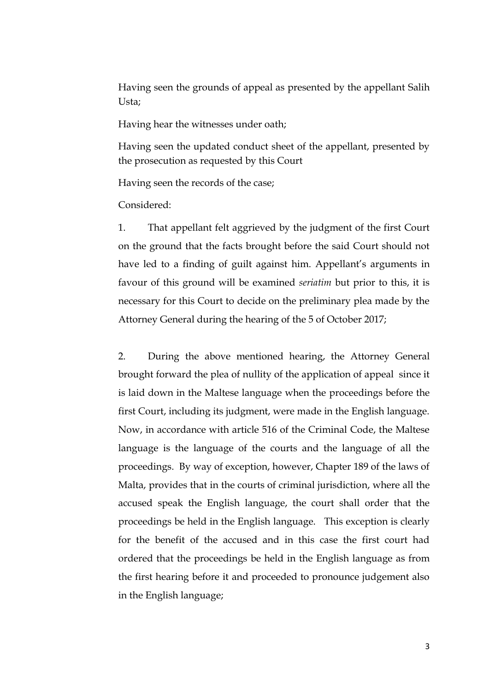Having seen the grounds of appeal as presented by the appellant Salih Usta;

Having hear the witnesses under oath;

Having seen the updated conduct sheet of the appellant, presented by the prosecution as requested by this Court

Having seen the records of the case;

Considered:

1. That appellant felt aggrieved by the judgment of the first Court on the ground that the facts brought before the said Court should not have led to a finding of guilt against him. Appellant's arguments in favour of this ground will be examined *seriatim* but prior to this, it is necessary for this Court to decide on the preliminary plea made by the Attorney General during the hearing of the 5 of October 2017;

2. During the above mentioned hearing, the Attorney General brought forward the plea of nullity of the application of appeal since it is laid down in the Maltese language when the proceedings before the first Court, including its judgment, were made in the English language. Now, in accordance with article 516 of the Criminal Code, the Maltese language is the language of the courts and the language of all the proceedings. By way of exception, however, Chapter 189 of the laws of Malta, provides that in the courts of criminal jurisdiction, where all the accused speak the English language, the court shall order that the proceedings be held in the English language. This exception is clearly for the benefit of the accused and in this case the first court had ordered that the proceedings be held in the English language as from the first hearing before it and proceeded to pronounce judgement also in the English language;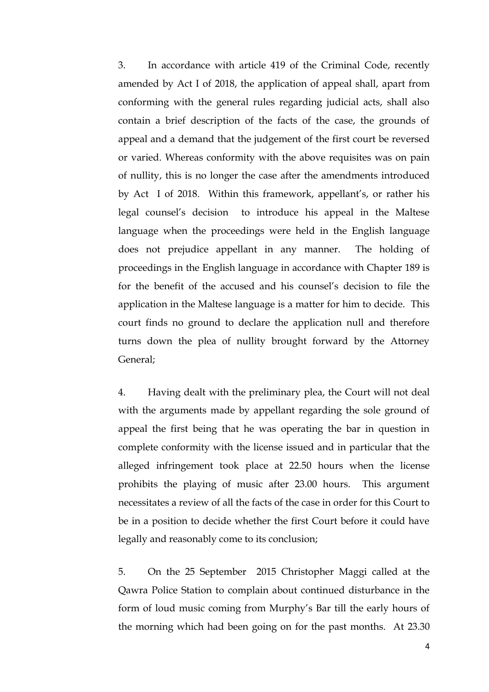3. In accordance with article 419 of the Criminal Code, recently amended by Act I of 2018, the application of appeal shall, apart from conforming with the general rules regarding judicial acts, shall also contain a brief description of the facts of the case, the grounds of appeal and a demand that the judgement of the first court be reversed or varied. Whereas conformity with the above requisites was on pain of nullity, this is no longer the case after the amendments introduced by Act I of 2018. Within this framework, appellant's, or rather his legal counsel's decision to introduce his appeal in the Maltese language when the proceedings were held in the English language does not prejudice appellant in any manner. The holding of proceedings in the English language in accordance with Chapter 189 is for the benefit of the accused and his counsel's decision to file the application in the Maltese language is a matter for him to decide. This court finds no ground to declare the application null and therefore turns down the plea of nullity brought forward by the Attorney General;

4. Having dealt with the preliminary plea, the Court will not deal with the arguments made by appellant regarding the sole ground of appeal the first being that he was operating the bar in question in complete conformity with the license issued and in particular that the alleged infringement took place at 22.50 hours when the license prohibits the playing of music after 23.00 hours. This argument necessitates a review of all the facts of the case in order for this Court to be in a position to decide whether the first Court before it could have legally and reasonably come to its conclusion;

5. On the 25 September 2015 Christopher Maggi called at the Qawra Police Station to complain about continued disturbance in the form of loud music coming from Murphy's Bar till the early hours of the morning which had been going on for the past months. At 23.30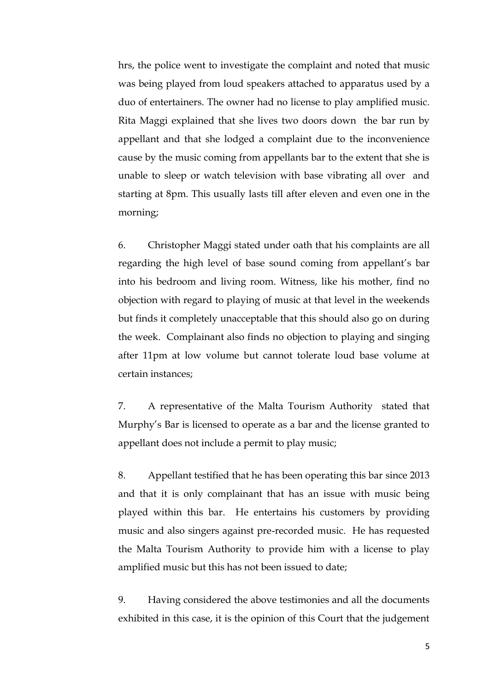hrs, the police went to investigate the complaint and noted that music was being played from loud speakers attached to apparatus used by a duo of entertainers. The owner had no license to play amplified music. Rita Maggi explained that she lives two doors down the bar run by appellant and that she lodged a complaint due to the inconvenience cause by the music coming from appellants bar to the extent that she is unable to sleep or watch television with base vibrating all over and starting at 8pm. This usually lasts till after eleven and even one in the morning;

6. Christopher Maggi stated under oath that his complaints are all regarding the high level of base sound coming from appellant's bar into his bedroom and living room. Witness, like his mother, find no objection with regard to playing of music at that level in the weekends but finds it completely unacceptable that this should also go on during the week. Complainant also finds no objection to playing and singing after 11pm at low volume but cannot tolerate loud base volume at certain instances;

7. A representative of the Malta Tourism Authority stated that Murphy's Bar is licensed to operate as a bar and the license granted to appellant does not include a permit to play music;

8. Appellant testified that he has been operating this bar since 2013 and that it is only complainant that has an issue with music being played within this bar. He entertains his customers by providing music and also singers against pre-recorded music. He has requested the Malta Tourism Authority to provide him with a license to play amplified music but this has not been issued to date;

9. Having considered the above testimonies and all the documents exhibited in this case, it is the opinion of this Court that the judgement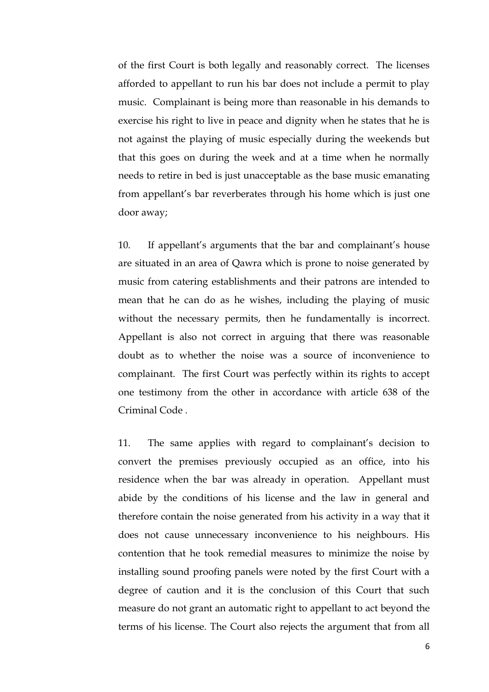of the first Court is both legally and reasonably correct. The licenses afforded to appellant to run his bar does not include a permit to play music. Complainant is being more than reasonable in his demands to exercise his right to live in peace and dignity when he states that he is not against the playing of music especially during the weekends but that this goes on during the week and at a time when he normally needs to retire in bed is just unacceptable as the base music emanating from appellant's bar reverberates through his home which is just one door away;

10. If appellant's arguments that the bar and complainant's house are situated in an area of Qawra which is prone to noise generated by music from catering establishments and their patrons are intended to mean that he can do as he wishes, including the playing of music without the necessary permits, then he fundamentally is incorrect. Appellant is also not correct in arguing that there was reasonable doubt as to whether the noise was a source of inconvenience to complainant. The first Court was perfectly within its rights to accept one testimony from the other in accordance with article 638 of the Criminal Code .

11. The same applies with regard to complainant's decision to convert the premises previously occupied as an office, into his residence when the bar was already in operation. Appellant must abide by the conditions of his license and the law in general and therefore contain the noise generated from his activity in a way that it does not cause unnecessary inconvenience to his neighbours. His contention that he took remedial measures to minimize the noise by installing sound proofing panels were noted by the first Court with a degree of caution and it is the conclusion of this Court that such measure do not grant an automatic right to appellant to act beyond the terms of his license. The Court also rejects the argument that from all